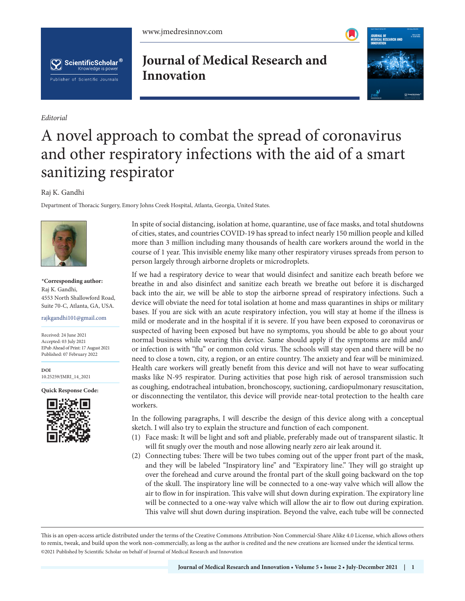[www.jmedresinnov.com](http://jmedresinnov.com/)





*Editorial*

**Journal of Medical Research and Innovation**



## A novel approach to combat the spread of coronavirus and other respiratory infections with the aid of a smart sanitizing respirator

## Raj K. Gandhi

Department of Thoracic Surgery, Emory Johns Creek Hospital, Atlanta, Georgia, United States.



**\*Corresponding author:**  Raj K. Gandhi, 4553 North Shallowford Road, Suite 70-C, Atlanta, GA, USA.

rajkgandhi101@gmail.com

Received: 24 June 2021 Accepted: 03 July 2021 EPub Ahead of Print: 17 August 2021 Published: 07 February 2022

**DOI** [10.25259/JMRI\\_14\\_2021](https://dx.doi.org/10.25259/JMRI_14_2021)

**Quick Response Code:**



In spite of social distancing, isolation at home, quarantine, use of face masks, and total shutdowns of cities, states, and countries COVID-19 has spread to infect nearly 150 million people and killed more than 3 million including many thousands of health care workers around the world in the course of 1 year. This invisible enemy like many other respiratory viruses spreads from person to person largely through airborne droplets or microdroplets.

If we had a respiratory device to wear that would disinfect and sanitize each breath before we breathe in and also disinfect and sanitize each breath we breathe out before it is discharged back into the air, we will be able to stop the airborne spread of respiratory infections. Such a device will obviate the need for total isolation at home and mass quarantines in ships or military bases. If you are sick with an acute respiratory infection, you will stay at home if the illness is mild or moderate and in the hospital if it is severe. If you have been exposed to coronavirus or suspected of having been exposed but have no symptoms, you should be able to go about your normal business while wearing this device. Same should apply if the symptoms are mild and/ or infection is with "flu" or common cold virus. The schools will stay open and there will be no need to close a town, city, a region, or an entire country. The anxiety and fear will be minimized. Health care workers will greatly benefit from this device and will not have to wear suffocating masks like N-95 respirator. During activities that pose high risk of aerosol transmission such as coughing, endotracheal intubation, bronchoscopy, suctioning, cardiopulmonary resuscitation, or disconnecting the ventilator, this device will provide near-total protection to the health care workers.

In the following paragraphs, I will describe the design of this device along with a conceptual sketch. I will also try to explain the structure and function of each component.

- (1) Face mask: It will be light and soft and pliable, preferably made out of transparent silastic. It will fit snugly over the mouth and nose allowing nearly zero air leak around it.
- (2) Connecting tubes: There will be two tubes coming out of the upper front part of the mask, and they will be labeled "Inspiratory line" and "Expiratory line." They will go straight up over the forehead and curve around the frontal part of the skull going backward on the top of the skull. The inspiratory line will be connected to a one-way valve which will allow the air to flow in for inspiration. This valve will shut down during expiration. The expiratory line will be connected to a one-way valve which will allow the air to flow out during expiration. This valve will shut down during inspiration. Beyond the valve, each tube will be connected

is is an open-access article distributed under the terms of the Creative Commons Attribution-Non Commercial-Share Alike 4.0 License, which allows others to remix, tweak, and build upon the work non-commercially, as long as the author is credited and the new creations are licensed under the identical terms. ©2021 Published by Scientific Scholar on behalf of Journal of Medical Research and Innovation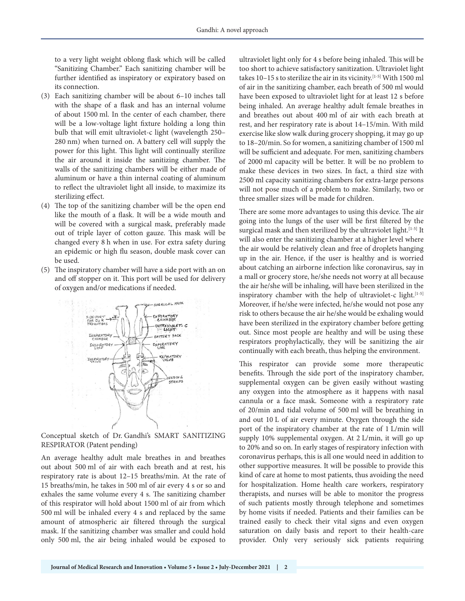to a very light weight oblong flask which will be called "Sanitizing Chamber." Each sanitizing chamber will be further identified as inspiratory or expiratory based on its connection.

- (3) Each sanitizing chamber will be about 6–10 inches tall with the shape of a flask and has an internal volume of about 1500 ml. In the center of each chamber, there will be a low-voltage light fixture holding a long thin bulb that will emit ultraviolet-c light (wavelength 250– 280 nm) when turned on. A battery cell will supply the power for this light. This light will continually sterilize the air around it inside the sanitizing chamber. The walls of the sanitizing chambers will be either made of aluminum or have a thin internal coating of aluminum to reflect the ultraviolet light all inside, to maximize its sterilizing effect.
- (4) The top of the sanitizing chamber will be the open end like the mouth of a flask. It will be a wide mouth and will be covered with a surgical mask, preferably made out of triple layer of cotton gauze. This mask will be changed every 8 h when in use. For extra safety during an epidemic or high flu season, double mask cover can be used.
- (5) The inspiratory chamber will have a side port with an on and off stopper on it. This port will be used for delivery of oxygen and/or medications if needed.



Conceptual sketch of Dr. Gandhi's SMART SANITIZING RESPIRATOR (Patent pending)

An average healthy adult male breathes in and breathes out about 500 ml of air with each breath and at rest, his respiratory rate is about 12–15 breaths/min. At the rate of 15 breaths/min, he takes in 500 ml of air every 4 s or so and exhales the same volume every 4 s. The sanitizing chamber of this respirator will hold about 1500 ml of air from which 500 ml will be inhaled every 4 s and replaced by the same amount of atmospheric air filtered through the surgical mask. If the sanitizing chamber was smaller and could hold only 500 ml, the air being inhaled would be exposed to

ultraviolet light only for 4 s before being inhaled. This will be too short to achieve satisfactory sanitization. Ultraviolet light takes 10–15 s to sterilize the air in its vicinity.[1-5] With 1500 ml of air in the sanitizing chamber, each breath of 500 ml would have been exposed to ultraviolet light for at least 12 s before being inhaled. An average healthy adult female breathes in and breathes out about 400 ml of air with each breath at rest, and her respiratory rate is about 14–15/min. With mild exercise like slow walk during grocery shopping, it may go up to 18–20/min. So for women, a sanitizing chamber of 1500 ml will be sufficient and adequate. For men, sanitizing chambers of 2000 ml capacity will be better. It will be no problem to make these devices in two sizes. In fact, a third size with 2500 ml capacity sanitizing chambers for extra-large persons will not pose much of a problem to make. Similarly, two or three smaller sizes will be made for children.

There are some more advantages to using this device. The air going into the lungs of the user will be first filtered by the surgical mask and then sterilized by the ultraviolet light.<sup>[1-5]</sup> It will also enter the sanitizing chamber at a higher level where the air would be relatively clean and free of droplets hanging up in the air. Hence, if the user is healthy and is worried about catching an airborne infection like coronavirus, say in a mall or grocery store, he/she needs not worry at all because the air he/she will be inhaling, will have been sterilized in the inspiratory chamber with the help of ultraviolet-c light. $[1-5]$ Moreover, if he/she were infected, he/she would not pose any risk to others because the air he/she would be exhaling would have been sterilized in the expiratory chamber before getting out. Since most people are healthy and will be using these respirators prophylactically, they will be sanitizing the air continually with each breath, thus helping the environment.

This respirator can provide some more therapeutic benefits. Through the side port of the inspiratory chamber, supplemental oxygen can be given easily without wasting any oxygen into the atmosphere as it happens with nasal cannula or a face mask. Someone with a respiratory rate of 20/min and tidal volume of 500 ml will be breathing in and out 10 L of air every minute. Oxygen through the side port of the inspiratory chamber at the rate of 1 L/min will supply 10% supplemental oxygen. At 2 L/min, it will go up to 20% and so on. In early stages of respiratory infection with coronavirus perhaps, this is all one would need in addition to other supportive measures. It will be possible to provide this kind of care at home to most patients, thus avoiding the need for hospitalization. Home health care workers, respiratory therapists, and nurses will be able to monitor the progress of such patients mostly through telephone and sometimes by home visits if needed. Patients and their families can be trained easily to check their vital signs and even oxygen saturation on daily basis and report to their health-care provider. Only very seriously sick patients requiring